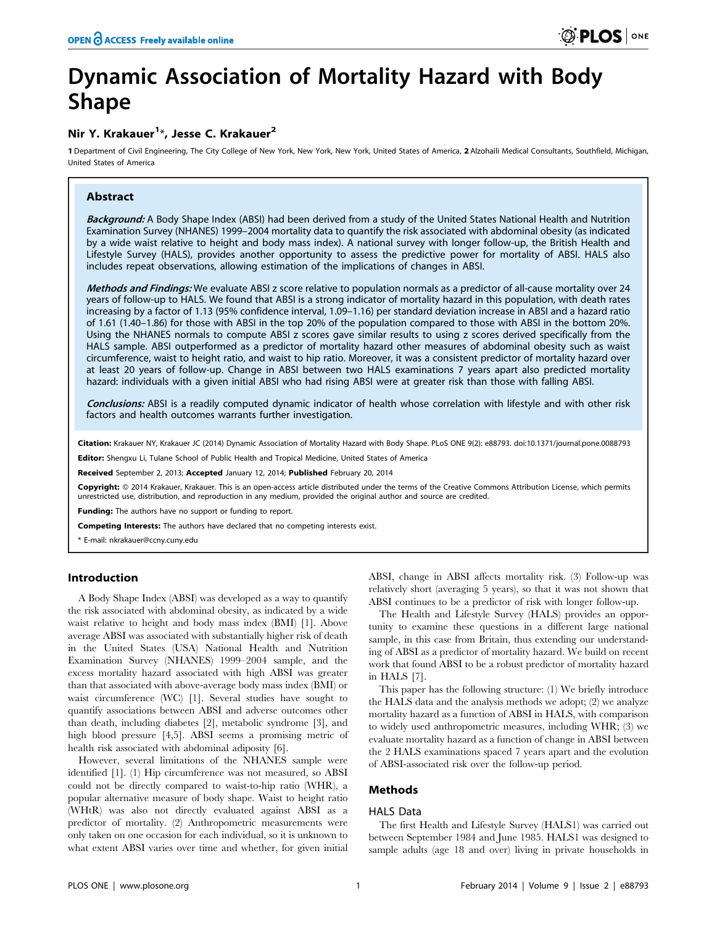# Dynamic Association of Mortality Hazard with Body Shape

# Nir Y. Krakauer<sup>1</sup>\*, Jesse C. Krakauer<sup>2</sup>

1 Department of Civil Engineering, The City College of New York, New York, New York, United States of America, 2 Alzohaili Medical Consultants, Southfield, Michigan, United States of America

# Abstract

Background: A Body Shape Index (ABSI) had been derived from a study of the United States National Health and Nutrition Examination Survey (NHANES) 1999–2004 mortality data to quantify the risk associated with abdominal obesity (as indicated by a wide waist relative to height and body mass index). A national survey with longer follow-up, the British Health and Lifestyle Survey (HALS), provides another opportunity to assess the predictive power for mortality of ABSI. HALS also includes repeat observations, allowing estimation of the implications of changes in ABSI.

Methods and Findings: We evaluate ABSI z score relative to population normals as a predictor of all-cause mortality over 24 years of follow-up to HALS. We found that ABSI is a strong indicator of mortality hazard in this population, with death rates increasing by a factor of 1.13 (95% confidence interval, 1.09–1.16) per standard deviation increase in ABSI and a hazard ratio of 1.61 (1.40–1.86) for those with ABSI in the top 20% of the population compared to those with ABSI in the bottom 20%. Using the NHANES normals to compute ABSI z scores gave similar results to using z scores derived specifically from the HALS sample. ABSI outperformed as a predictor of mortality hazard other measures of abdominal obesity such as waist circumference, waist to height ratio, and waist to hip ratio. Moreover, it was a consistent predictor of mortality hazard over at least 20 years of follow-up. Change in ABSI between two HALS examinations 7 years apart also predicted mortality hazard: individuals with a given initial ABSI who had rising ABSI were at greater risk than those with falling ABSI.

Conclusions: ABSI is a readily computed dynamic indicator of health whose correlation with lifestyle and with other risk factors and health outcomes warrants further investigation.

Citation: Krakauer NY, Krakauer JC (2014) Dynamic Association of Mortality Hazard with Body Shape. PLoS ONE 9(2): e88793. doi:10.1371/journal.pone.0088793

Editor: Shengxu Li, Tulane School of Public Health and Tropical Medicine, United States of America

Received September 2, 2013; Accepted January 12, 2014; Published February 20, 2014

**Copyright:** © 2014 Krakauer, Krakauer. This is an open-access article distributed under the terms of the [Creative Commons Attribution License](http://creativecommons.org/licenses/by/4.0/), which permits unrestricted use, distribution, and reproduction in any medium, provided the original author and source are credited.

**unding:** The authors have no support or funding to report.

Competing Interests: The authors have declared that no competing interests exist.

\* E-mail: nkrakauer@ccny.cuny.edu

# Introduction

A Body Shape Index (ABSI) was developed as a way to quantify the risk associated with abdominal obesity, as indicated by a wide waist relative to height and body mass index (BMI) [1]. Above average ABSI was associated with substantially higher risk of death in the United States (USA) National Health and Nutrition Examination Survey (NHANES) 1999–2004 sample, and the excess mortality hazard associated with high ABSI was greater than that associated with above-average body mass index (BMI) or waist circumference (WC) [1]. Several studies have sought to quantify associations between ABSI and adverse outcomes other than death, including diabetes [2], metabolic syndrome [3], and high blood pressure [4,5]. ABSI seems a promising metric of health risk associated with abdominal adiposity [6].

However, several limitations of the NHANES sample were identified [1]. (1) Hip circumference was not measured, so ABSI could not be directly compared to waist-to-hip ratio (WHR), a popular alternative measure of body shape. Waist to height ratio (WHtR) was also not directly evaluated against ABSI as a predictor of mortality. (2) Anthropometric measurements were only taken on one occasion for each individual, so it is unknown to what extent ABSI varies over time and whether, for given initial ABSI, change in ABSI affects mortality risk. (3) Follow-up was relatively short (averaging 5 years), so that it was not shown that ABSI continues to be a predictor of risk with longer follow-up.

The Health and Lifestyle Survey (HALS) provides an opportunity to examine these questions in a different large national sample, in this case from Britain, thus extending our understanding of ABSI as a predictor of mortality hazard. We build on recent work that found ABSI to be a robust predictor of mortality hazard in HALS [7].

This paper has the following structure: (1) We briefly introduce the HALS data and the analysis methods we adopt; (2) we analyze mortality hazard as a function of ABSI in HALS, with comparison to widely used anthropometric measures, including WHR; (3) we evaluate mortality hazard as a function of change in ABSI between the 2 HALS examinations spaced 7 years apart and the evolution of ABSI-associated risk over the follow-up period.

# Methods

## HALS Data

The first Health and Lifestyle Survey (HALS1) was carried out between September 1984 and June 1985. HALS1 was designed to sample adults (age 18 and over) living in private households in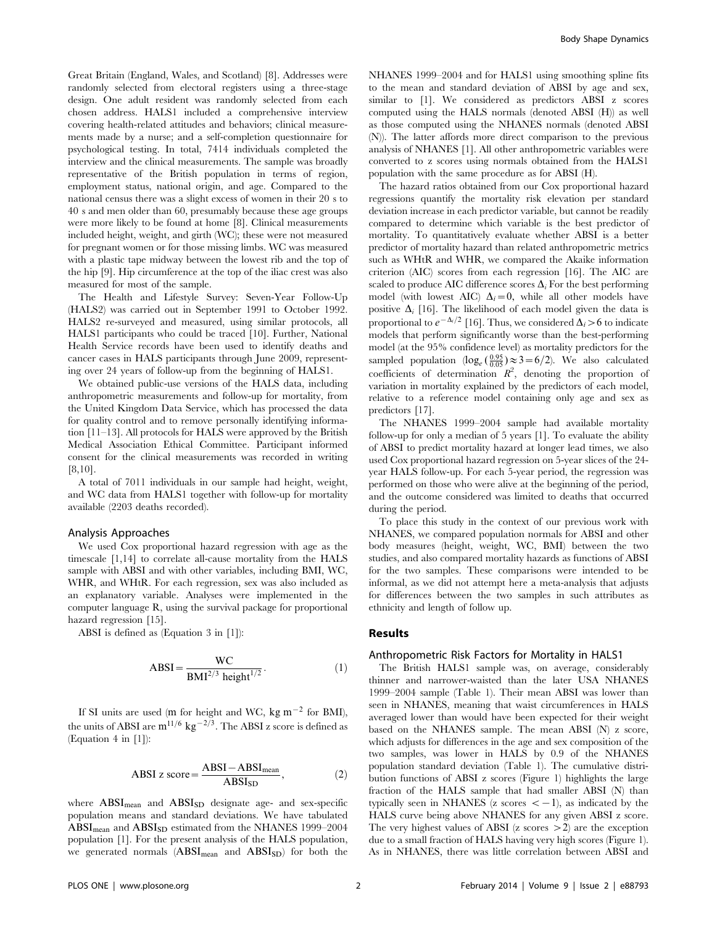Great Britain (England, Wales, and Scotland) [8]. Addresses were randomly selected from electoral registers using a three-stage design. One adult resident was randomly selected from each chosen address. HALS1 included a comprehensive interview covering health-related attitudes and behaviors; clinical measurements made by a nurse; and a self-completion questionnaire for psychological testing. In total, 7414 individuals completed the interview and the clinical measurements. The sample was broadly representative of the British population in terms of region, employment status, national origin, and age. Compared to the national census there was a slight excess of women in their 20 s to 40 s and men older than 60, presumably because these age groups were more likely to be found at home [8]. Clinical measurements included height, weight, and girth (WC); these were not measured for pregnant women or for those missing limbs. WC was measured with a plastic tape midway between the lowest rib and the top of the hip [9]. Hip circumference at the top of the iliac crest was also measured for most of the sample.

The Health and Lifestyle Survey: Seven-Year Follow-Up (HALS2) was carried out in September 1991 to October 1992. HALS2 re-surveyed and measured, using similar protocols, all HALS1 participants who could be traced [10]. Further, National Health Service records have been used to identify deaths and cancer cases in HALS participants through June 2009, representing over 24 years of follow-up from the beginning of HALS1.

We obtained public-use versions of the HALS data, including anthropometric measurements and follow-up for mortality, from the United Kingdom Data Service, which has processed the data for quality control and to remove personally identifying information [11–13]. All protocols for HALS were approved by the British Medical Association Ethical Committee. Participant informed consent for the clinical measurements was recorded in writing [8,10].

A total of 7011 individuals in our sample had height, weight, and WC data from HALS1 together with follow-up for mortality available (2203 deaths recorded).

#### Analysis Approaches

We used Cox proportional hazard regression with age as the timescale [1,14] to correlate all-cause mortality from the HALS sample with ABSI and with other variables, including BMI, WC, WHR, and WHtR. For each regression, sex was also included as an explanatory variable. Analyses were implemented in the computer language R, using the survival package for proportional hazard regression [15].

ABSI is defined as (Equation 3 in [1]):

$$
ABSI = \frac{WC}{BMI^{2/3} height^{1/2}}.
$$
 (1)

If SI units are used (m for height and WC, kg  $m^{-2}$  for BMI), the units of ABSI are  $\rm m^{11/6}$   $\rm kg^{-2/3}$ . The ABSI z score is defined as (Equation 4 in [1]):

$$
ABSI z score = \frac{ABSI - ABSI_{mean}}{ABSI_{SD}},
$$
 (2)

where ABSI<sub>mean</sub> and ABSI<sub>SD</sub> designate age- and sex-specific population means and standard deviations. We have tabulated ABSI<sub>mean</sub> and ABSI<sub>SD</sub> estimated from the NHANES 1999–2004 population [1]. For the present analysis of the HALS population, we generated normals  $(ABSI_{mean}$  and  $ABSI_{SD})$  for both the

NHANES 1999–2004 and for HALS1 using smoothing spline fits to the mean and standard deviation of ABSI by age and sex, similar to [1]. We considered as predictors ABSI z scores computed using the HALS normals (denoted ABSI (H)) as well as those computed using the NHANES normals (denoted ABSI (N)). The latter affords more direct comparison to the previous analysis of NHANES [1]. All other anthropometric variables were converted to z scores using normals obtained from the HALS1 population with the same procedure as for ABSI (H).

The hazard ratios obtained from our Cox proportional hazard regressions quantify the mortality risk elevation per standard deviation increase in each predictor variable, but cannot be readily compared to determine which variable is the best predictor of mortality. To quantitatively evaluate whether ABSI is a better predictor of mortality hazard than related anthropometric metrics such as WHtR and WHR, we compared the Akaike information criterion (AIC) scores from each regression [16]. The AIC are scaled to produce AIC difference scores  $\Delta_i$  For the best performing model (with lowest AIC)  $\Delta_i = 0$ , while all other models have positive  $\Delta_i$  [16]. The likelihood of each model given the data is proportional to  $e^{-\Delta_i/2}$  [16]. Thus, we considered  $\Delta_i > 6$  to indicate models that perform significantly worse than the best-performing model (at the 95% confidence level) as mortality predictors for the sampled population  $(\log_e(\frac{0.95}{0.05}) \approx 3=6/2)$ . We also calculated coefficients of determination  $R^2$ , denoting the proportion of variation in mortality explained by the predictors of each model, relative to a reference model containing only age and sex as predictors [17].

The NHANES 1999–2004 sample had available mortality follow-up for only a median of 5 years [1]. To evaluate the ability of ABSI to predict mortality hazard at longer lead times, we also used Cox proportional hazard regression on 5-year slices of the 24 year HALS follow-up. For each 5-year period, the regression was performed on those who were alive at the beginning of the period, and the outcome considered was limited to deaths that occurred during the period.

To place this study in the context of our previous work with NHANES, we compared population normals for ABSI and other body measures (height, weight, WC, BMI) between the two studies, and also compared mortality hazards as functions of ABSI for the two samples. These comparisons were intended to be informal, as we did not attempt here a meta-analysis that adjusts for differences between the two samples in such attributes as ethnicity and length of follow up.

#### Results

#### Anthropometric Risk Factors for Mortality in HALS1

The British HALS1 sample was, on average, considerably thinner and narrower-waisted than the later USA NHANES 1999–2004 sample (Table 1). Their mean ABSI was lower than seen in NHANES, meaning that waist circumferences in HALS averaged lower than would have been expected for their weight based on the NHANES sample. The mean ABSI (N) z score, which adjusts for differences in the age and sex composition of the two samples, was lower in HALS by 0.9 of the NHANES population standard deviation (Table 1). The cumulative distribution functions of ABSI z scores (Figure 1) highlights the large fraction of the HALS sample that had smaller ABSI (N) than typically seen in NHANES (z scores  $<-1$ ), as indicated by the HALS curve being above NHANES for any given ABSI z score. The very highest values of ABSI ( $z$  scores  $>2$ ) are the exception due to a small fraction of HALS having very high scores (Figure 1). As in NHANES, there was little correlation between ABSI and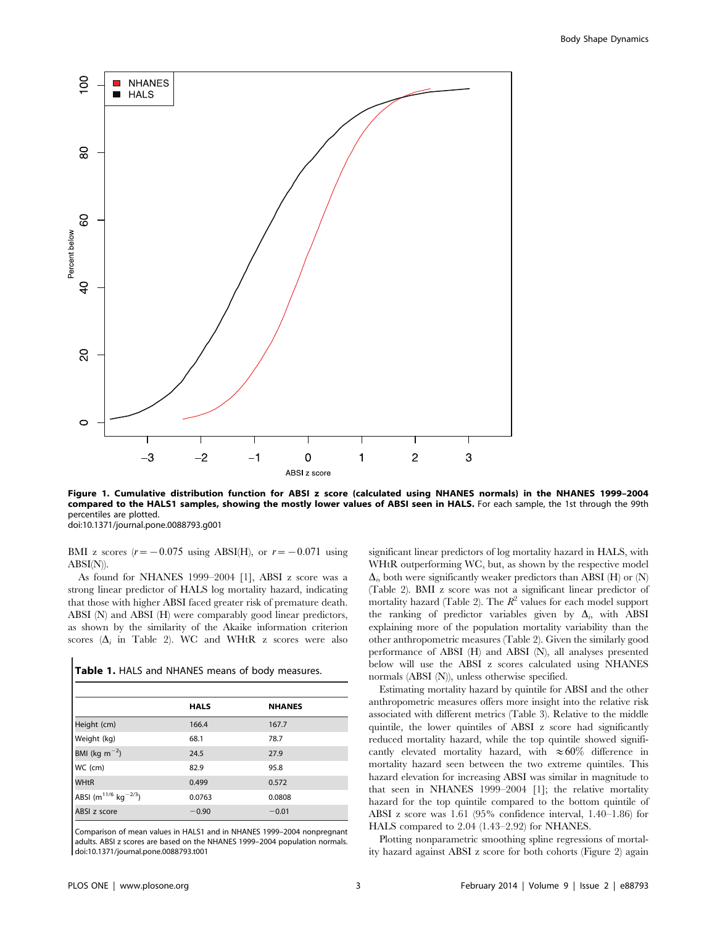

Figure 1. Cumulative distribution function for ABSI z score (calculated using NHANES normals) in the NHANES 1999–2004 compared to the HALS1 samples, showing the mostly lower values of ABSI seen in HALS. For each sample, the 1st through the 99th percentiles are plotted. doi:10.1371/journal.pone.0088793.g001

BMI z scores ( $r=-0.075$  using ABSI(H), or  $r=-0.071$  using ABSI(N)).

As found for NHANES 1999–2004 [1], ABSI z score was a strong linear predictor of HALS log mortality hazard, indicating that those with higher ABSI faced greater risk of premature death. ABSI (N) and ABSI (H) were comparably good linear predictors, as shown by the similarity of the Akaike information criterion scores  $(\Delta_i$  in Table 2). WC and WHtR z scores were also

| Table 1. HALS and NHANES means of body measures. |  |
|--------------------------------------------------|--|
|--------------------------------------------------|--|

|                                              | <b>HALS</b> | <b>NHANES</b> |
|----------------------------------------------|-------------|---------------|
| Height (cm)                                  | 166.4       | 167.7         |
| Weight (kg)                                  | 68.1        | 78.7          |
| BMI (kg $m^{-2}$ )                           | 24.5        | 27.9          |
| WC (cm)                                      | 82.9        | 95.8          |
| <b>WHtR</b>                                  | 0.499       | 0.572         |
| ABSI (m <sup>11/6</sup> kg <sup>-2/3</sup> ) | 0.0763      | 0.0808        |
| ABSI z score                                 | $-0.90$     | $-0.01$       |

Comparison of mean values in HALS1 and in NHANES 1999–2004 nonpregnant adults. ABSI z scores are based on the NHANES 1999–2004 population normals. doi:10.1371/journal.pone.0088793.t001

significant linear predictors of log mortality hazard in HALS, with WHtR outperforming WC, but, as shown by the respective model  $\Delta_i$ , both were significantly weaker predictors than ABSI (H) or (N) (Table 2). BMI z score was not a significant linear predictor of mortality hazard (Table 2). The  $R^2$  values for each model support the ranking of predictor variables given by  $\Delta_i$ , with ABSI explaining more of the population mortality variability than the other anthropometric measures (Table 2). Given the similarly good performance of ABSI (H) and ABSI (N), all analyses presented below will use the ABSI z scores calculated using NHANES normals (ABSI (N)), unless otherwise specified.

Estimating mortality hazard by quintile for ABSI and the other anthropometric measures offers more insight into the relative risk associated with different metrics (Table 3). Relative to the middle quintile, the lower quintiles of ABSI z score had significantly reduced mortality hazard, while the top quintile showed significantly elevated mortality hazard, with  $\approx 60\%$  difference in mortality hazard seen between the two extreme quintiles. This hazard elevation for increasing ABSI was similar in magnitude to that seen in NHANES 1999–2004 [1]; the relative mortality hazard for the top quintile compared to the bottom quintile of ABSI z score was 1.61 (95% confidence interval, 1.40–1.86) for HALS compared to 2.04 (1.43–2.92) for NHANES.

Plotting nonparametric smoothing spline regressions of mortality hazard against ABSI z score for both cohorts (Figure 2) again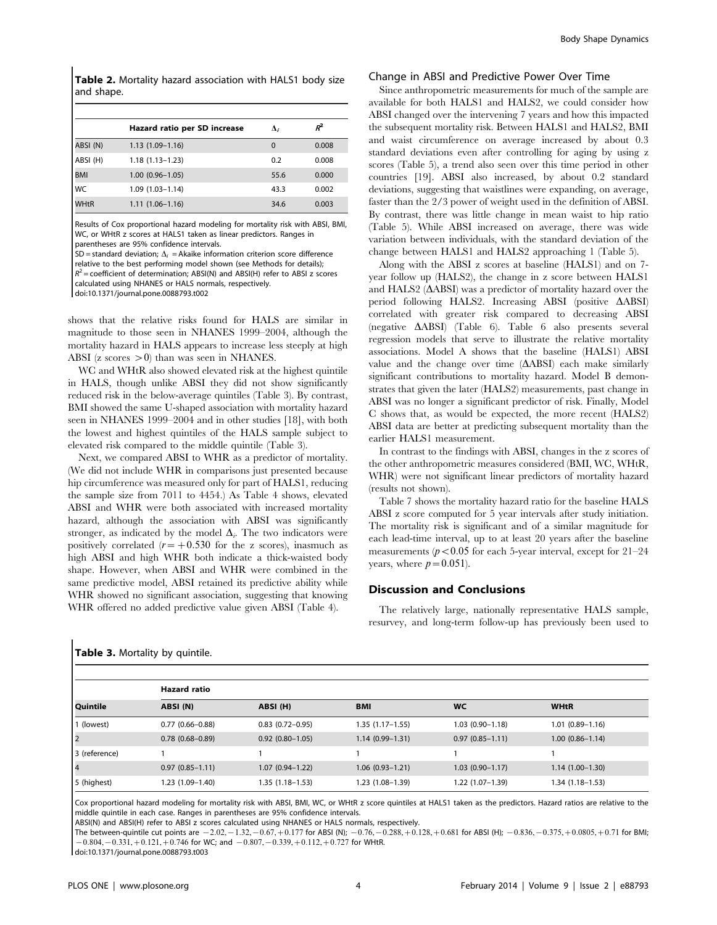Table 2. Mortality hazard association with HALS1 body size and shape.

|            | Hazard ratio per SD increase | $\Delta_i$ | $R^2$ |
|------------|------------------------------|------------|-------|
| ABSI (N)   | $1.13(1.09-1.16)$            | $\Omega$   | 0.008 |
| ABSI (H)   | $1.18(1.13 - 1.23)$          | 0.2        | 0.008 |
| <b>BMI</b> | $1.00(0.96 - 1.05)$          | 55.6       | 0.000 |
| WC         | $1.09(1.03 - 1.14)$          | 43.3       | 0.002 |
| WHtR       | $1.11(1.06 - 1.16)$          | 34.6       | 0.003 |

Results of Cox proportional hazard modeling for mortality risk with ABSI, BMI, WC, or WHtR z scores at HALS1 taken as linear predictors. Ranges in parentheses are 95% confidence intervals.

SD = standard deviation;  $\Delta_i$  = Akaike information criterion score difference

relative to the best performing model shown (see Methods for details);

 $R^2$  = coefficient of determination: ABSI(N) and ABSI(H) refer to ABSI z scores

calculated using NHANES or HALS normals, respectively.

doi:10.1371/journal.pone.0088793.t002

shows that the relative risks found for HALS are similar in magnitude to those seen in NHANES 1999–2004, although the mortality hazard in HALS appears to increase less steeply at high ABSI (z scores  $>0$ ) than was seen in NHANES.

WC and WHtR also showed elevated risk at the highest quintile in HALS, though unlike ABSI they did not show significantly reduced risk in the below-average quintiles (Table 3). By contrast, BMI showed the same U-shaped association with mortality hazard seen in NHANES 1999–2004 and in other studies [18], with both the lowest and highest quintiles of the HALS sample subject to elevated risk compared to the middle quintile (Table 3).

Next, we compared ABSI to WHR as a predictor of mortality. (We did not include WHR in comparisons just presented because hip circumference was measured only for part of HALS1, reducing the sample size from 7011 to 4454.) As Table 4 shows, elevated ABSI and WHR were both associated with increased mortality hazard, although the association with ABSI was significantly stronger, as indicated by the model  $\Delta_i$ . The two indicators were positively correlated  $(r=+0.530$  for the z scores), inasmuch as high ABSI and high WHR both indicate a thick-waisted body shape. However, when ABSI and WHR were combined in the same predictive model, ABSI retained its predictive ability while WHR showed no significant association, suggesting that knowing WHR offered no added predictive value given ABSI (Table 4).

#### Change in ABSI and Predictive Power Over Time

Since anthropometric measurements for much of the sample are available for both HALS1 and HALS2, we could consider how ABSI changed over the intervening 7 years and how this impacted the subsequent mortality risk. Between HALS1 and HALS2, BMI and waist circumference on average increased by about 0.3 standard deviations even after controlling for aging by using z scores (Table 5), a trend also seen over this time period in other countries [19]. ABSI also increased, by about 0.2 standard deviations, suggesting that waistlines were expanding, on average, faster than the 2/3 power of weight used in the definition of ABSI. By contrast, there was little change in mean waist to hip ratio (Table 5). While ABSI increased on average, there was wide variation between individuals, with the standard deviation of the change between HALS1 and HALS2 approaching 1 (Table 5).

Along with the ABSI z scores at baseline (HALS1) and on 7 year follow up (HALS2), the change in z score between HALS1 and HALS2  $( \Delta A~~BSI)~~ was a predictor of mortality hazard over the$ period following HALS2. Increasing ABSI (positive  $\triangle$ ABSI) correlated with greater risk compared to decreasing ABSI (negative DABSI) (Table 6). Table 6 also presents several regression models that serve to illustrate the relative mortality associations. Model A shows that the baseline (HALS1) ABSI value and the change over time  $( \Delta A B S I )$  each make similarly significant contributions to mortality hazard. Model B demonstrates that given the later (HALS2) measurements, past change in ABSI was no longer a significant predictor of risk. Finally, Model C shows that, as would be expected, the more recent (HALS2) ABSI data are better at predicting subsequent mortality than the earlier HALS1 measurement.

In contrast to the findings with ABSI, changes in the z scores of the other anthropometric measures considered (BMI, WC, WHtR, WHR) were not significant linear predictors of mortality hazard (results not shown).

Table 7 shows the mortality hazard ratio for the baseline HALS ABSI z score computed for 5 year intervals after study initiation. The mortality risk is significant and of a similar magnitude for each lead-time interval, up to at least 20 years after the baseline measurements ( $p < 0.05$  for each 5-year interval, except for 21–24 years, where  $p=0.051$ .

## Discussion and Conclusions

The relatively large, nationally representative HALS sample, resurvey, and long-term follow-up has previously been used to

|                | Hazard ratio        |                        |                     |                     |                     |  |
|----------------|---------------------|------------------------|---------------------|---------------------|---------------------|--|
| Quintile       | ABSI(N)             | ABSI (H)               | <b>BMI</b>          | <b>WC</b>           | <b>WHtR</b>         |  |
| 1 (lowest)     | $0.77(0.66 - 0.88)$ | $0.83$ $(0.72 - 0.95)$ | $1.35(1.17-1.55)$   | $1.03(0.90 - 1.18)$ | $1.01(0.89 - 1.16)$ |  |
| $\overline{2}$ | $0.78(0.68 - 0.89)$ | $0.92(0.80-1.05)$      | $1.14(0.99 - 1.31)$ | $0.97(0.85 - 1.11)$ | $1.00(0.86 - 1.14)$ |  |
| 3 (reference)  |                     |                        |                     |                     |                     |  |
| 14             | $0.97(0.85 - 1.11)$ | $1.07(0.94 - 1.22)$    | $1.06(0.93 - 1.21)$ | $1.03(0.90 - 1.17)$ | $1.14(1.00-1.30)$   |  |
| 5 (highest)    | 1.23 (1.09–1.40)    | 1.35 (1.18–1.53)       | 1.23 (1.08-1.39)    | 1.22 (1.07-1.39)    | 1.34 (1.18–1.53)    |  |

Table 3. Mortality by quintile.

Cox proportional hazard modeling for mortality risk with ABSI, BMI, WC, or WHtR z score quintiles at HALS1 taken as the predictors. Hazard ratios are relative to the middle quintile in each case. Ranges in parentheses are 95% confidence intervals.

ABSI(N) and ABSI(H) refer to ABSI z scores calculated using NHANES or HALS normals, respectively.

The between-quintile cut points are  $-2.02, -1.32, -0.67, +0.177$  for ABSI (N);  $-0.76, -0.288, +0.128, +0.681$  for ABSI (H);  $-0.836, -0.375, +0.0805, +0.71$  for BMI;  ${0.804, -0.331, +0.121, +0.746}$  for WC; and  ${0.807, -0.339, +0.112, +0.727}$  for WHtR.

doi:10.1371/journal.pone.0088793.t003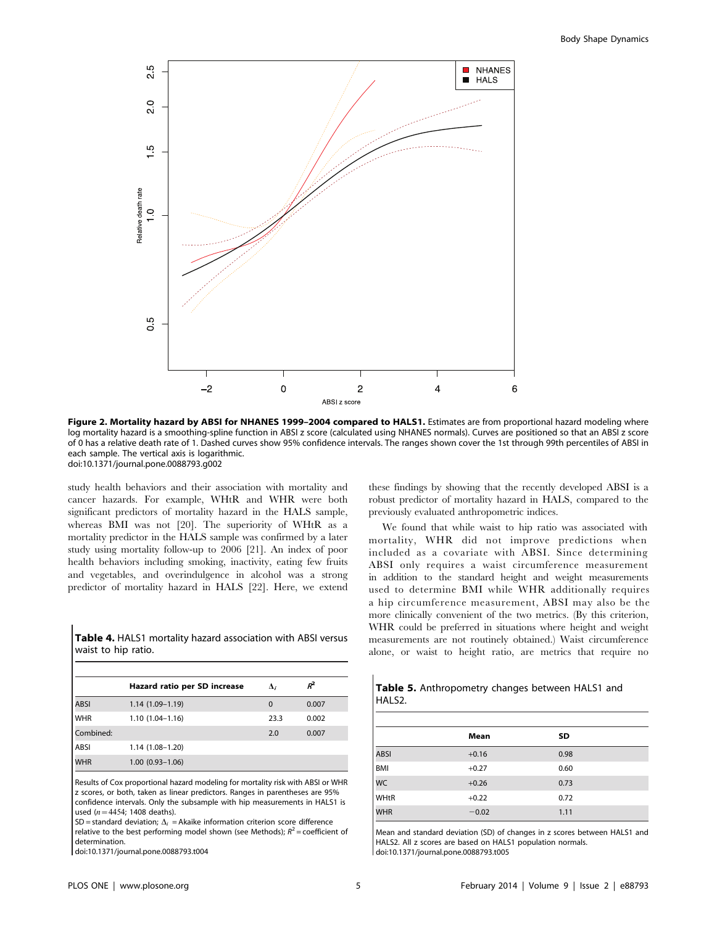

Figure 2. Mortality hazard by ABSI for NHANES 1999-2004 compared to HALS1. Estimates are from proportional hazard modeling where log mortality hazard is a smoothing-spline function in ABSI z score (calculated using NHANES normals). Curves are positioned so that an ABSI z score of 0 has a relative death rate of 1. Dashed curves show 95% confidence intervals. The ranges shown cover the 1st through 99th percentiles of ABSI in each sample. The vertical axis is logarithmic. doi:10.1371/journal.pone.0088793.g002

study health behaviors and their association with mortality and cancer hazards. For example, WHtR and WHR were both significant predictors of mortality hazard in the HALS sample, whereas BMI was not [20]. The superiority of WHtR as a mortality predictor in the HALS sample was confirmed by a later study using mortality follow-up to 2006 [21]. An index of poor health behaviors including smoking, inactivity, eating few fruits and vegetables, and overindulgence in alcohol was a strong predictor of mortality hazard in HALS [22]. Here, we extend

Table 4. HALS1 mortality hazard association with ABSI versus waist to hip ratio.

|             | Hazard ratio per SD increase | $\Delta_i$ | $R^2$ |
|-------------|------------------------------|------------|-------|
| <b>ABSI</b> | $1.14(1.09-1.19)$            | $\Omega$   | 0.007 |
| <b>WHR</b>  | $1.10(1.04 - 1.16)$          | 23.3       | 0.002 |
| Combined:   |                              | 2.0        | 0.007 |
| ABSI        | $1.14(1.08-1.20)$            |            |       |
| <b>WHR</b>  | $1.00(0.93 - 1.06)$          |            |       |

Results of Cox proportional hazard modeling for mortality risk with ABSI or WHR z scores, or both, taken as linear predictors. Ranges in parentheses are 95% confidence intervals. Only the subsample with hip measurements in HALS1 is used ( $n=4454$ ; 1408 deaths).

SD = standard deviation;  $\Delta_i$  = Akaike information criterion score difference

relative to the best performing model shown (see Methods);  $R^2$  = coefficient of determination.

doi:10.1371/journal.pone.0088793.t004

these findings by showing that the recently developed ABSI is a robust predictor of mortality hazard in HALS, compared to the previously evaluated anthropometric indices.

We found that while waist to hip ratio was associated with mortality, WHR did not improve predictions when included as a covariate with ABSI. Since determining ABSI only requires a waist circumference measurement in addition to the standard height and weight measurements used to determine BMI while WHR additionally requires a hip circumference measurement, ABSI may also be the more clinically convenient of the two metrics. (By this criterion, WHR could be preferred in situations where height and weight measurements are not routinely obtained.) Waist circumference alone, or waist to height ratio, are metrics that require no

|        | Table 5. Anthropometry changes between HALS1 and |  |  |
|--------|--------------------------------------------------|--|--|
| HALS2. |                                                  |  |  |

|             | Mean    | SD   |
|-------------|---------|------|
| <b>ABSI</b> | $+0.16$ | 0.98 |
| <b>BMI</b>  | $+0.27$ | 0.60 |
| <b>WC</b>   | $+0.26$ | 0.73 |
| <b>WHtR</b> | $+0.22$ | 0.72 |
| <b>WHR</b>  | $-0.02$ | 1.11 |

Mean and standard deviation (SD) of changes in z scores between HALS1 and HALS2. All z scores are based on HALS1 population normals. doi:10.1371/journal.pone.0088793.t005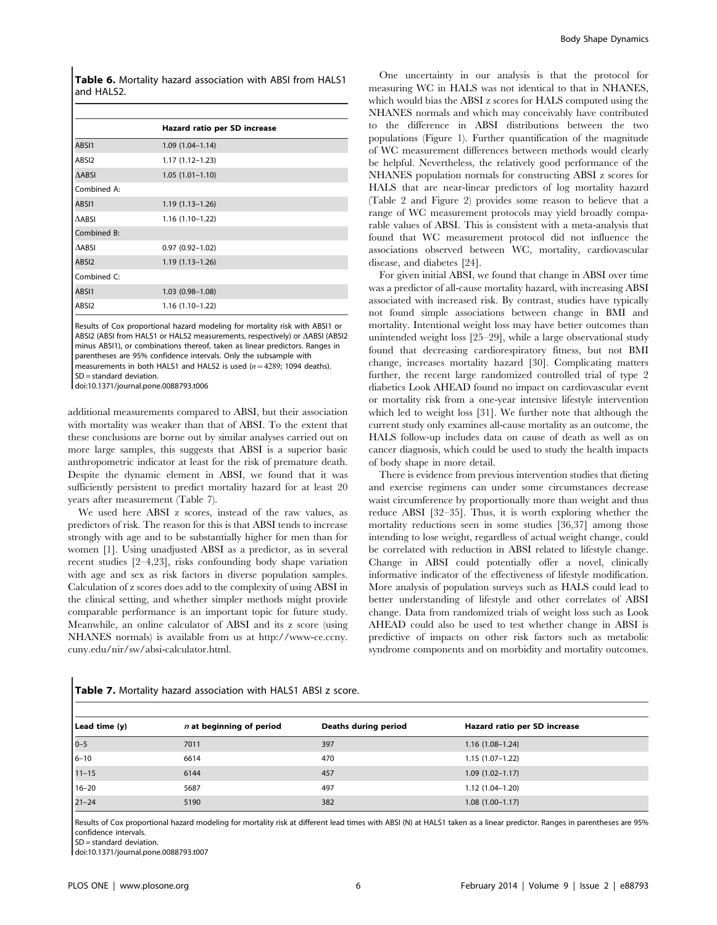Table 6. Mortality hazard association with ABSI from HALS1 and HALS2.

|                   | Hazard ratio per SD increase |  |
|-------------------|------------------------------|--|
| ABSI1             | $1.09(1.04 - 1.14)$          |  |
| ABSI <sub>2</sub> | $1.17(1.12 - 1.23)$          |  |
| $\triangle A$ BSI | $1.05(1.01 - 1.10)$          |  |
| Combined A:       |                              |  |
| ABSI1             | $1.19(1.13 - 1.26)$          |  |
| $\Delta$ ABSI     | $1.16(1.10-1.22)$            |  |
| Combined B:       |                              |  |
| <b>AABSI</b>      | $0.97(0.92 - 1.02)$          |  |
| ABSI2             | $1.19(1.13 - 1.26)$          |  |
| Combined C:       |                              |  |
| ABSI1             | $1.03(0.98 - 1.08)$          |  |
| ABSI2             | $1.16(1.10-1.22)$            |  |
|                   |                              |  |

Results of Cox proportional hazard modeling for mortality risk with ABSI1 or ABSI2 (ABSI from HALS1 or HALS2 measurements, respectively) or  $\triangle$ ABSI (ABSI2 minus ABSI1), or combinations thereof, taken as linear predictors. Ranges in parentheses are 95% confidence intervals. Only the subsample with measurements in both HALS1 and HALS2 is used  $(n=4289; 1094$  deaths).  $SD = standard deviation$ 

doi:10.1371/journal.pone.0088793.t006

additional measurements compared to ABSI, but their association with mortality was weaker than that of ABSI. To the extent that these conclusions are borne out by similar analyses carried out on more large samples, this suggests that ABSI is a superior basic anthropometric indicator at least for the risk of premature death. Despite the dynamic element in ABSI, we found that it was sufficiently persistent to predict mortality hazard for at least 20 years after measurement (Table 7).

We used here ABSI z scores, instead of the raw values, as predictors of risk. The reason for this is that ABSI tends to increase strongly with age and to be substantially higher for men than for women [1]. Using unadjusted ABSI as a predictor, as in several recent studies [2–4,23], risks confounding body shape variation with age and sex as risk factors in diverse population samples. Calculation of z scores does add to the complexity of using ABSI in the clinical setting, and whether simpler methods might provide comparable performance is an important topic for future study. Meanwhile, an online calculator of ABSI and its z score (using NHANES normals) is available from us at http://www-ce.ccny. cuny.edu/nir/sw/absi-calculator.html.

Table 7. Mortality hazard association with HALS1 ABSI z score.

One uncertainty in our analysis is that the protocol for measuring WC in HALS was not identical to that in NHANES, which would bias the ABSI z scores for HALS computed using the NHANES normals and which may conceivably have contributed to the difference in ABSI distributions between the two populations (Figure 1). Further quantification of the magnitude of WC measurement differences between methods would clearly be helpful. Nevertheless, the relatively good performance of the NHANES population normals for constructing ABSI z scores for HALS that are near-linear predictors of log mortality hazard (Table 2 and Figure 2) provides some reason to believe that a range of WC measurement protocols may yield broadly comparable values of ABSI. This is consistent with a meta-analysis that found that WC measurement protocol did not influence the associations observed between WC, mortality, cardiovascular disease, and diabetes [24].

For given initial ABSI, we found that change in ABSI over time was a predictor of all-cause mortality hazard, with increasing ABSI associated with increased risk. By contrast, studies have typically not found simple associations between change in BMI and mortality. Intentional weight loss may have better outcomes than unintended weight loss [25–29], while a large observational study found that decreasing cardiorespiratory fitness, but not BMI change, increases mortality hazard [30]. Complicating matters further, the recent large randomized controlled trial of type 2 diabetics Look AHEAD found no impact on cardiovascular event or mortality risk from a one-year intensive lifestyle intervention which led to weight loss [31]. We further note that although the current study only examines all-cause mortality as an outcome, the HALS follow-up includes data on cause of death as well as on cancer diagnosis, which could be used to study the health impacts of body shape in more detail.

There is evidence from previous intervention studies that dieting and exercise regimens can under some circumstances decrease waist circumference by proportionally more than weight and thus reduce ABSI [32–35]. Thus, it is worth exploring whether the mortality reductions seen in some studies [36,37] among those intending to lose weight, regardless of actual weight change, could be correlated with reduction in ABSI related to lifestyle change. Change in ABSI could potentially offer a novel, clinically informative indicator of the effectiveness of lifestyle modification. More analysis of population surveys such as HALS could lead to better understanding of lifestyle and other correlates of ABSI change. Data from randomized trials of weight loss such as Look AHEAD could also be used to test whether change in ABSI is predictive of impacts on other risk factors such as metabolic syndrome components and on morbidity and mortality outcomes.

| Lead time (y) | n at beginning of period | Deaths during period | Hazard ratio per SD increase |  |
|---------------|--------------------------|----------------------|------------------------------|--|
| $0 - 5$       | 7011                     | 397                  | $1.16(1.08-1.24)$            |  |
| $6 - 10$      | 6614                     | 470                  | $1.15(1.07-1.22)$            |  |
| $11 - 15$     | 6144                     | 457                  | $1.09(1.02 - 1.17)$          |  |
| $16 - 20$     | 5687                     | 497                  | $1.12(1.04-1.20)$            |  |
| $21 - 24$     | 5190                     | 382                  | $1.08(1.00-1.17)$            |  |

Results of Cox proportional hazard modeling for mortality risk at different lead times with ABSI (N) at HALS1 taken as a linear predictor. Ranges in parentheses are 95% confidence intervals.

SD = standard deviation.

doi:10.1371/journal.pone.0088793.t007